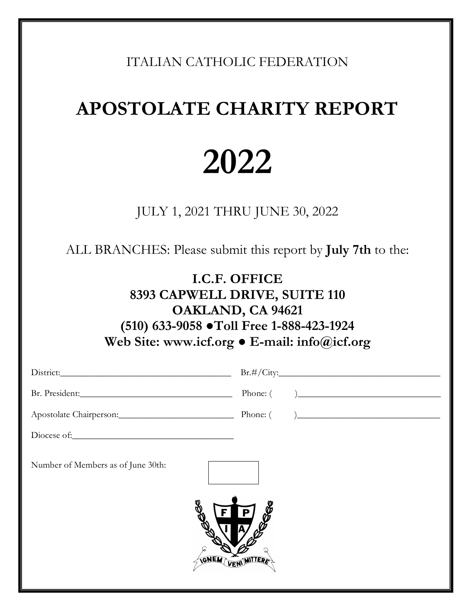ITALIAN CATHOLIC FEDERATION

## **APOSTOLATE CHARITY REPORT**

# **2022**

JULY 1, 2021 THRU JUNE 30, 2022

ALL BRANCHES: Please submit this report by **July 7th** to the:

### **I.C.F. OFFICE 8393 CAPWELL DRIVE, SUITE 110 OAKLAND, CA 94621 (510) 633-9058 ●Toll Free 1-888-423-1924 Web Site: www.icf.org ● E-mail: info@icf.org**

|                                            | Br.#/City:                |
|--------------------------------------------|---------------------------|
| Br. President:                             | Phone: ( )                |
|                                            |                           |
|                                            |                           |
| Number of Members as of June 30th:<br>GNEW | 88<br>P<br><b>MITTERS</b> |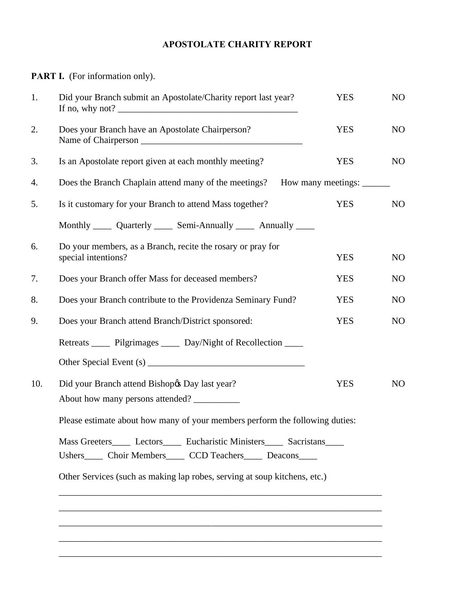#### **APOSTOLATE CHARITY REPORT**

**PART I.** (For information only).

| 1.  | Did your Branch submit an Apostolate/Charity report last year?                                                                                    | <b>YES</b>                | NO             |
|-----|---------------------------------------------------------------------------------------------------------------------------------------------------|---------------------------|----------------|
| 2.  | Does your Branch have an Apostolate Chairperson?                                                                                                  | <b>YES</b>                | NO             |
| 3.  | Is an Apostolate report given at each monthly meeting?                                                                                            | <b>YES</b>                | NO             |
| 4.  | Does the Branch Chaplain attend many of the meetings?                                                                                             | How many meetings: ______ |                |
| 5.  | Is it customary for your Branch to attend Mass together?                                                                                          | <b>YES</b>                | N <sub>O</sub> |
|     | Monthly ______ Quarterly ______ Semi-Annually ______ Annually _____                                                                               |                           |                |
| 6.  | Do your members, as a Branch, recite the rosary or pray for<br>special intentions?                                                                | <b>YES</b>                | NO             |
| 7.  | Does your Branch offer Mass for deceased members?                                                                                                 | <b>YES</b>                | N <sub>O</sub> |
| 8.  | Does your Branch contribute to the Providenza Seminary Fund?                                                                                      | <b>YES</b>                | N <sub>O</sub> |
| 9.  | Does your Branch attend Branch/District sponsored:                                                                                                | <b>YES</b>                | NO             |
|     | Retreats ______ Pilgrimages ______ Day/Night of Recollection _____                                                                                |                           |                |
|     |                                                                                                                                                   |                           |                |
| 10. | Did your Branch attend Bishop & Day last year?<br>About how many persons attended?                                                                | <b>YES</b>                | N <sub>O</sub> |
|     | Please estimate about how many of your members perform the following duties:                                                                      |                           |                |
|     | Mass Greeters ______ Lectors ______ Eucharistic Ministers ______ Sacristans _____<br>Ushers_____ Choir Members_____ CCD Teachers_____ Deacons____ |                           |                |
|     | Other Services (such as making lap robes, serving at soup kitchens, etc.)                                                                         |                           |                |
|     |                                                                                                                                                   |                           |                |
|     |                                                                                                                                                   |                           |                |
|     |                                                                                                                                                   |                           |                |
|     |                                                                                                                                                   |                           |                |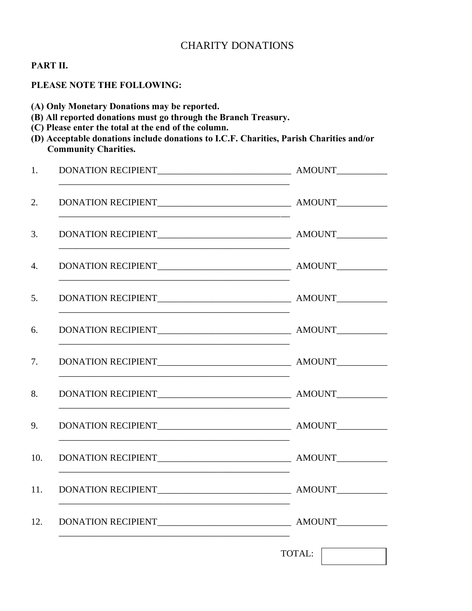#### CHARITY DONATIONS

#### **PART II.**

#### **PLEASE NOTE THE FOLLOWING:**

**(A) Only Monetary Donations may be reported.**

- **(B) All reported donations must go through the Branch Treasury.**
- **(C) Please enter the total at the end of the column.**
- **(D) Acceptable donations include donations to I.C.F. Charities, Parish Charities and/or Community Charities.**

| 1.  |        |
|-----|--------|
| 2.  |        |
| 3.  |        |
| 4.  |        |
| 5.  |        |
| 6.  |        |
| 7.  |        |
| 8.  |        |
|     |        |
| 10. |        |
| 11. |        |
| 12. |        |
|     | TOTAL: |